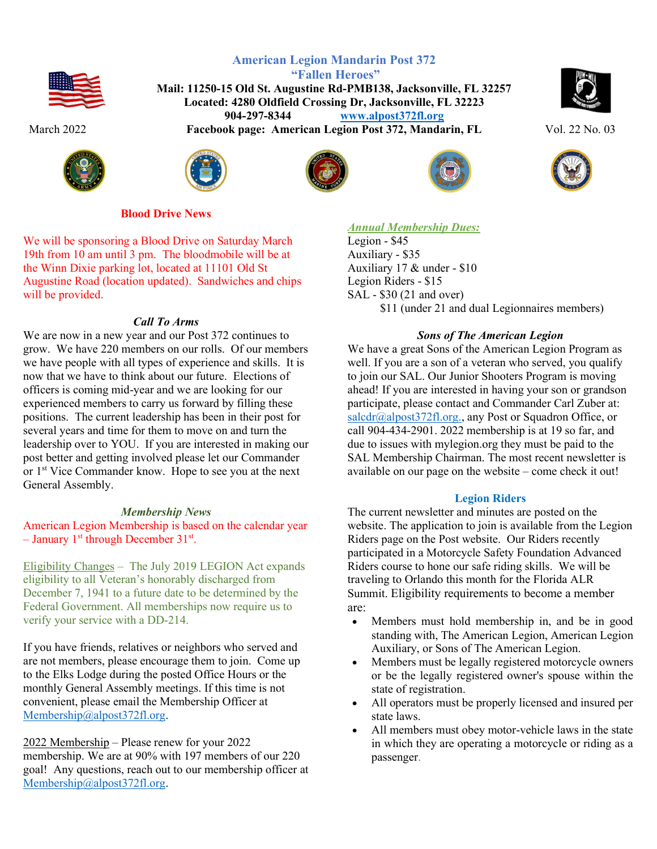



American Legion Mandarin Post 372 "Fallen Heroes" Mail: 11250-15 Old St. Augustine Rd-PMB138, Jacksonville, FL 32257 Located: 4280 Oldfield Crossing Dr, Jacksonville, FL 32223 904-297-8344 www.alpost372fl.org March 2022 **Facebook page: American Legion Post 372, Mandarin, FL** Vol. 22 No. 03









Blood Drive News

We will be sponsoring a Blood Drive on Saturday March 19th from 10 am until 3 pm. The bloodmobile will be at the Winn Dixie parking lot, located at 11101 Old St Augustine Road (location updated). Sandwiches and chips will be provided.

# Call To Arms

We are now in a new year and our Post 372 continues to grow. We have 220 members on our rolls. Of our members we have people with all types of experience and skills. It is now that we have to think about our future. Elections of officers is coming mid-year and we are looking for our experienced members to carry us forward by filling these positions. The current leadership has been in their post for several years and time for them to move on and turn the leadership over to YOU. If you are interested in making our post better and getting involved please let our Commander or 1<sup>st</sup> Vice Commander know. Hope to see you at the next General Assembly.

### Membership News

American Legion Membership is based on the calendar year - January 1<sup>st</sup> through December 31<sup>st</sup>.

Eligibility Changes – The July 2019 LEGION Act expands eligibility to all Veteran's honorably discharged from December 7, 1941 to a future date to be determined by the Federal Government. All memberships now require us to verify your service with a DD-214.

If you have friends, relatives or neighbors who served and are not members, please encourage them to join. Come up to the Elks Lodge during the posted Office Hours or the monthly General Assembly meetings. If this time is not convenient, please email the Membership Officer at Membership@alpost372fl.org.

2022 Membership – Please renew for your 2022 membership. We are at 90% with 197 members of our 220 goal! Any questions, reach out to our membership officer at Membership@alpost372fl.org.

**Annual Membership Dues:** 

Legion - \$45 Auxiliary - \$35 Auxiliary 17 & under - \$10 Legion Riders - \$15 SAL - \$30 (21 and over) \$11 (under 21 and dual Legionnaires members)

# Sons of The American Legion

We have a great Sons of the American Legion Program as well. If you are a son of a veteran who served, you qualify to join our SAL. Our Junior Shooters Program is moving ahead! If you are interested in having your son or grandson participate, please contact and Commander Carl Zuber at: salcdr@alpost372fl.org., any Post or Squadron Office, or call 904-434-2901. 2022 membership is at 19 so far, and due to issues with mylegion.org they must be paid to the SAL Membership Chairman. The most recent newsletter is available on our page on the website – come check it out!

# Legion Riders

The current newsletter and minutes are posted on the website. The application to join is available from the Legion Riders page on the Post website. Our Riders recently participated in a Motorcycle Safety Foundation Advanced Riders course to hone our safe riding skills. We will be traveling to Orlando this month for the Florida ALR Summit. Eligibility requirements to become a member are:

- Members must hold membership in, and be in good standing with, The American Legion, American Legion Auxiliary, or Sons of The American Legion.
- Members must be legally registered motorcycle owners or be the legally registered owner's spouse within the state of registration.
- All operators must be properly licensed and insured per state laws.
- All members must obey motor-vehicle laws in the state in which they are operating a motorcycle or riding as a passenger.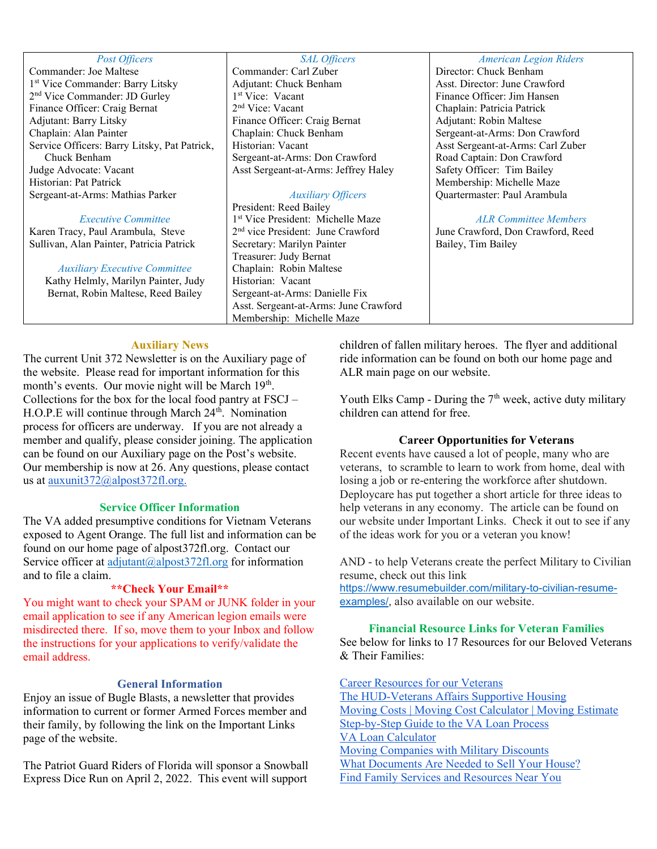#### Post Officers

Commander: Joe Maltese 1 st Vice Commander: Barry Litsky 2 nd Vice Commander: JD Gurley Finance Officer: Craig Bernat Adjutant: Barry Litsky Chaplain: Alan Painter Service Officers: Barry Litsky, Pat Patrick, Chuck Benham Judge Advocate: Vacant Historian: Pat Patrick Sergeant-at-Arms: Mathias Parker

#### Executive Committee

Karen Tracy, Paul Arambula, Steve Sullivan, Alan Painter, Patricia Patrick

#### Auxiliary Executive Committee

Kathy Helmly, Marilyn Painter, Judy Bernat, Robin Maltese, Reed Bailey

#### SAL Officers

Commander: Carl Zuber Adjutant: Chuck Benham 1 st Vice: Vacant 2 nd Vice: Vacant Finance Officer: Craig Bernat Chaplain: Chuck Benham Historian: Vacant Sergeant-at-Arms: Don Crawford Asst Sergeant-at-Arms: Jeffrey Haley

# Auxiliary Officers

President: Reed Bailey 1 st Vice President: Michelle Maze 2 nd vice President: June Crawford Secretary: Marilyn Painter Treasurer: Judy Bernat Chaplain: Robin Maltese Historian: Vacant Sergeant-at-Arms: Danielle Fix Asst. Sergeant-at-Arms: June Crawford Membership: Michelle Maze

#### American Legion Riders

Director: Chuck Benham Asst. Director: June Crawford Finance Officer: Jim Hansen Chaplain: Patricia Patrick Adjutant: Robin Maltese Sergeant-at-Arms: Don Crawford Asst Sergeant-at-Arms: Carl Zuber Road Captain: Don Crawford Safety Officer: Tim Bailey Membership: Michelle Maze Quartermaster: Paul Arambula

### ALR Committee Members

June Crawford, Don Crawford, Reed Bailey, Tim Bailey

#### Auxiliary News

The current Unit 372 Newsletter is on the Auxiliary page of the website. Please read for important information for this month's events. Our movie night will be March 19<sup>th</sup>. Collections for the box for the local food pantry at FSCJ – H.O.P.E will continue through March 24<sup>th</sup>. Nomination process for officers are underway. If you are not already a member and qualify, please consider joining. The application can be found on our Auxiliary page on the Post's website. Our membership is now at 26. Any questions, please contact us at auxunit372@alpost372fl.org.

## Service Officer Information

The VA added presumptive conditions for Vietnam Veterans exposed to Agent Orange. The full list and information can be found on our home page of alpost372fl.org. Contact our Service officer at  $\frac{adjutant(a)}{abost372fl.org}$  for information and to file a claim.

#### \*\*Check Your Email\*\*

You might want to check your SPAM or JUNK folder in your email application to see if any American legion emails were misdirected there. If so, move them to your Inbox and follow the instructions for your applications to verify/validate the email address.

## General Information

Enjoy an issue of Bugle Blasts, a newsletter that provides information to current or former Armed Forces member and their family, by following the link on the Important Links page of the website.

The Patriot Guard Riders of Florida will sponsor a Snowball Express Dice Run on April 2, 2022. This event will support children of fallen military heroes. The flyer and additional ride information can be found on both our home page and ALR main page on our website.

Youth Elks Camp - During the  $7<sup>th</sup>$  week, active duty military children can attend for free.

#### Career Opportunities for Veterans

Recent events have caused a lot of people, many who are veterans, to scramble to learn to work from home, deal with losing a job or re-entering the workforce after shutdown. Deploycare has put together a short article for three ideas to help veterans in any economy. The article can be found on our website under Important Links. Check it out to see if any of the ideas work for you or a veteran you know!

AND - to help Veterans create the perfect Military to Civilian resume, check out this link

https://www.resumebuilder.com/military-to-civilian-resumeexamples/, also available on our website.

# Financial Resource Links for Veteran Families

See below for links to 17 Resources for our Beloved Veterans & Their Families:

Career Resources for our Veterans

The HUD-Veterans Affairs Supportive Housing Moving Costs | Moving Cost Calculator | Moving Estimate Step-by-Step Guide to the VA Loan Process VA Loan Calculator Moving Companies with Military Discounts What Documents Are Needed to Sell Your House? Find Family Services and Resources Near You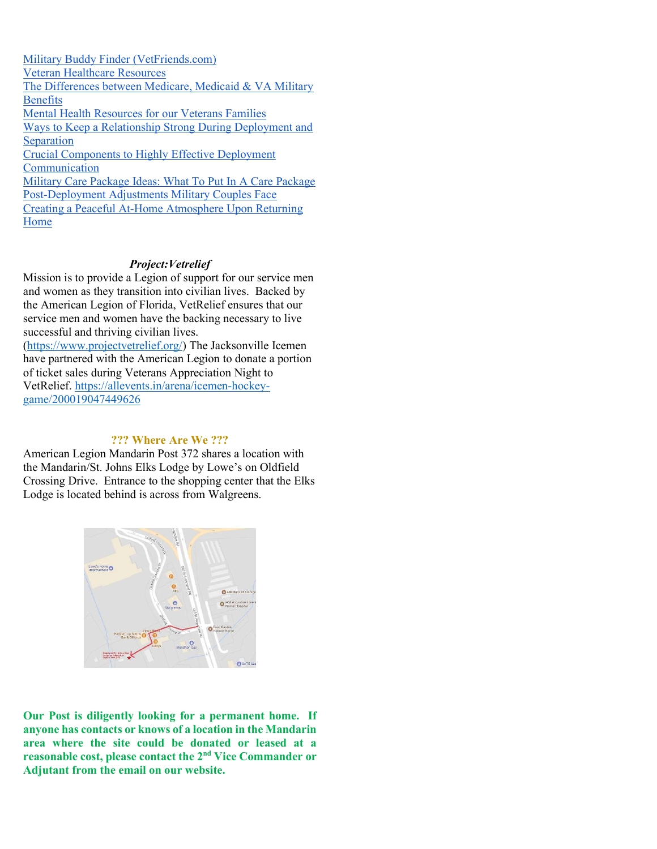Military Buddy Finder (VetFriends.com) Veteran Healthcare Resources The Differences between Medicare, Medicaid & VA Military Benefits Mental Health Resources for our Veterans Families Ways to Keep a Relationship Strong During Deployment and Separation Crucial Components to Highly Effective Deployment Communication Military Care Package Ideas: What To Put In A Care Package Post-Deployment Adjustments Military Couples Face Creating a Peaceful At-Home Atmosphere Upon Returning Home

### Project:Vetrelief

Mission is to provide a Legion of support for our service men and women as they transition into civilian lives. Backed by the American Legion of Florida, VetRelief ensures that our service men and women have the backing necessary to live successful and thriving civilian lives.

(https://www.projectvetrelief.org/) The Jacksonville Icemen have partnered with the American Legion to donate a portion of ticket sales during Veterans Appreciation Night to VetRelief. https://allevents.in/arena/icemen-hockeygame/200019047449626

## ??? Where Are We ???

American Legion Mandarin Post 372 shares a location with the Mandarin/St. Johns Elks Lodge by Lowe's on Oldfield Crossing Drive. Entrance to the shopping center that the Elks Lodge is located behind is across from Walgreens.



Our Post is diligently looking for a permanent home. If anyone has contacts or knows of a location in the Mandarin area where the site could be donated or leased at a reasonable cost, please contact the 2nd Vice Commander or Adjutant from the email on our website.